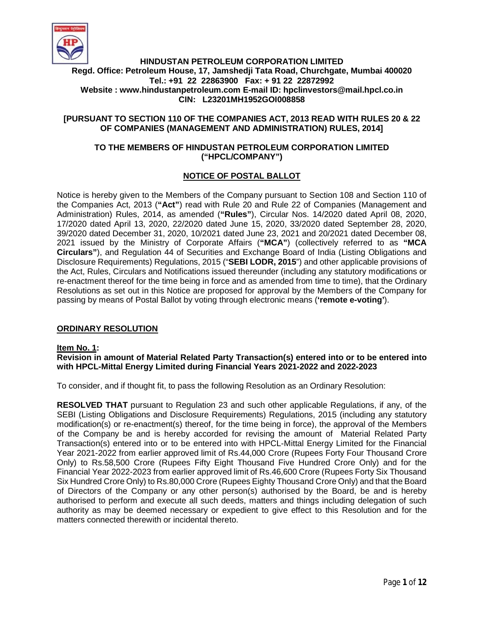

# **HINDUSTAN PETROLEUM CORPORATION LIMITED Regd. Office: Petroleum House, 17, Jamshedji Tata Road, Churchgate, Mumbai 400020 Tel.: +91 22 22863900 Fax: + 91 22 22872992 Website : www.hindustanpetroleum.com E-mail ID: hpclinvestors@mail.hpcl.co.in CIN: L23201MH1952GOI008858**

# **[PURSUANT TO SECTION 110 OF THE COMPANIES ACT, 2013 READ WITH RULES 20 & 22 OF COMPANIES (MANAGEMENT AND ADMINISTRATION) RULES, 2014]**

### **TO THE MEMBERS OF HINDUSTAN PETROLEUM CORPORATION LIMITED ("HPCL/COMPANY")**

# **NOTICE OF POSTAL BALLOT**

Notice is hereby given to the Members of the Company pursuant to Section 108 and Section 110 of the Companies Act, 2013 (**"Act"**) read with Rule 20 and Rule 22 of Companies (Management and Administration) Rules, 2014, as amended (**"Rules"**), Circular Nos. 14/2020 dated April 08, 2020, 17/2020 dated April 13, 2020, 22/2020 dated June 15, 2020, 33/2020 dated September 28, 2020, 39/2020 dated December 31, 2020, 10/2021 dated June 23, 2021 and 20/2021 dated December 08, 2021 issued by the Ministry of Corporate Affairs (**"MCA"**) (collectively referred to as **"MCA Circulars"**), and Regulation 44 of Securities and Exchange Board of India (Listing Obligations and Disclosure Requirements) Regulations, 2015 ("**SEBI LODR, 2015**") and other applicable provisions of the Act, Rules, Circulars and Notifications issued thereunder (including any statutory modifications or re-enactment thereof for the time being in force and as amended from time to time), that the Ordinary Resolutions as set out in this Notice are proposed for approval by the Members of the Company for passing by means of Postal Ballot by voting through electronic means (**'remote e-voting'**).

## **ORDINARY RESOLUTION**

#### **Item No. 1:**

#### **Revision in amount of Material Related Party Transaction(s) entered into or to be entered into with HPCL-Mittal Energy Limited during Financial Years 2021-2022 and 2022-2023**

To consider, and if thought fit, to pass the following Resolution as an Ordinary Resolution:

**RESOLVED THAT** pursuant to Regulation 23 and such other applicable Regulations, if any, of the SEBI (Listing Obligations and Disclosure Requirements) Regulations, 2015 (including any statutory modification(s) or re-enactment(s) thereof, for the time being in force), the approval of the Members of the Company be and is hereby accorded for revising the amount of Material Related Party Transaction(s) entered into or to be entered into with HPCL-Mittal Energy Limited for the Financial Year 2021-2022 from earlier approved limit of Rs.44,000 Crore (Rupees Forty Four Thousand Crore Only) to Rs.58,500 Crore (Rupees Fifty Eight Thousand Five Hundred Crore Only) and for the Financial Year 2022-2023 from earlier approved limit of Rs.46,600 Crore (Rupees Forty Six Thousand Six Hundred Crore Only) to Rs.80,000 Crore (Rupees Eighty Thousand Crore Only) and that the Board of Directors of the Company or any other person(s) authorised by the Board, be and is hereby authorised to perform and execute all such deeds, matters and things including delegation of such authority as may be deemed necessary or expedient to give effect to this Resolution and for the matters connected therewith or incidental thereto.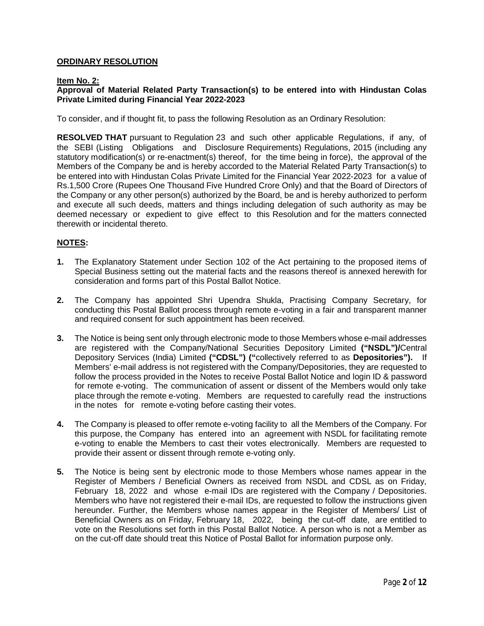# **ORDINARY RESOLUTION**

#### **Item No. 2:**

### **Approval of Material Related Party Transaction(s) to be entered into with Hindustan Colas Private Limited during Financial Year 2022-2023**

To consider, and if thought fit, to pass the following Resolution as an Ordinary Resolution:

**RESOLVED THAT** pursuant to Regulation 23 and such other applicable Regulations, if any, of the SEBI (Listing Obligations and Disclosure Requirements) Regulations, 2015 (including any statutory modification(s) or re-enactment(s) thereof, for the time being in force), the approval of the Members of the Company be and is hereby accorded to the Material Related Party Transaction(s) to be entered into with Hindustan Colas Private Limited for the Financial Year 2022-2023 for a value of Rs.1,500 Crore (Rupees One Thousand Five Hundred Crore Only) and that the Board of Directors of the Company or any other person(s) authorized by the Board, be and is hereby authorized to perform and execute all such deeds, matters and things including delegation of such authority as may be deemed necessary or expedient to give effect to this Resolution and for the matters connected therewith or incidental thereto.

#### **NOTES:**

- **1.** The Explanatory Statement under Section 102 of the Act pertaining to the proposed items of Special Business setting out the material facts and the reasons thereof is annexed herewith for consideration and forms part of this Postal Ballot Notice.
- **2.** The Company has appointed Shri Upendra Shukla, Practising Company Secretary, for conducting this Postal Ballot process through remote e-voting in a fair and transparent manner and required consent for such appointment has been received.
- **3.** The Notice is being sent only through electronic mode to those Members whose e-mail addresses are registered with the Company/National Securities Depository Limited **("NSDL")/**Central Depository Services (India) Limited **("CDSL") ("**collectively referred to as **Depositories").** If Members' e-mail address is not registered with the Company/Depositories, they are requested to follow the process provided in the Notes to receive Postal Ballot Notice and login ID & password for remote e-voting. The communication of assent or dissent of the Members would only take place through the remote e-voting. Members are requested to carefully read the instructions in the notes for remote e-voting before casting their votes.
- **4.** The Company is pleased to offer remote e-voting facility to all the Members of the Company. For this purpose, the Company has entered into an agreement with NSDL for facilitating remote e-voting to enable the Members to cast their votes electronically. Members are requested to provide their assent or dissent through remote e-voting only.
- **5.** The Notice is being sent by electronic mode to those Members whose names appear in the Register of Members / Beneficial Owners as received from NSDL and CDSL as on Friday, February 18, 2022 and whose e-mail IDs are registered with the Company / Depositories. Members who have not registered their e-mail IDs, are requested to follow the instructions given hereunder. Further, the Members whose names appear in the Register of Members/ List of Beneficial Owners as on Friday, February 18, 2022, being the cut-off date, are entitled to vote on the Resolutions set forth in this Postal Ballot Notice. A person who is not a Member as on the cut-off date should treat this Notice of Postal Ballot for information purpose only.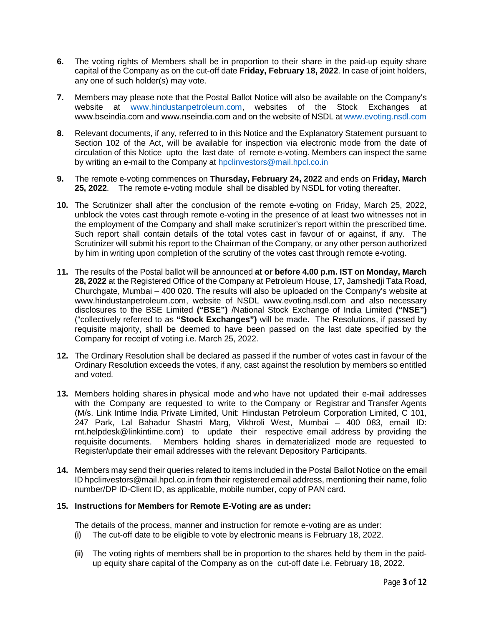- **6.** The voting rights of Members shall be in proportion to their share in the paid-up equity share capital of the Company as on the cut-off date **Friday, February 18, 2022**. In case of joint holders, any one of such holder(s) may vote.
- **7.** Members may please note that the Postal Ballot Notice will also be available on the Company's website at www.hindustanpetroleum.com, websites of the Stock Exchanges at www.bseindia.com and www.nseindia.com and on the website of NSDL at www.evoting.nsdl.com
- **8.** Relevant documents, if any, referred to in this Notice and the Explanatory Statement pursuant to Section 102 of the Act, will be available for inspection via electronic mode from the date of circulation of this Notice upto the last date of remote e-voting. Members can inspect the same by writing an e-mail to the Company at hpclinvestors@mail.hpcl.co.in
- **9.** The remote e-voting commences on **Thursday, February 24, 2022** and ends on **Friday, March 25, 2022**. The remote e-voting module shall be disabled by NSDL for voting thereafter.
- **10.** The Scrutinizer shall after the conclusion of the remote e-voting on Friday, March 25, 2022, unblock the votes cast through remote e-voting in the presence of at least two witnesses not in the employment of the Company and shall make scrutinizer's report within the prescribed time. Such report shall contain details of the total votes cast in favour of or against, if any.The Scrutinizer will submit his report to the Chairman of the Company, or any other person authorized by him in writing upon completion of the scrutiny of the votes cast through remote e-voting.
- **11.** The results of the Postal ballot will be announced **at or before 4.00 p.m. IST on Monday, March 28, 2022** at the Registered Office of the Company at Petroleum House, 17, Jamshedji Tata Road, Churchgate, Mumbai – 400 020. The results will also be uploaded on the Company's website at www.hindustanpetroleum.com, website of NSDL www.evoting.nsdl.com and also necessary disclosures to the BSE Limited **("BSE")** /National Stock Exchange of India Limited **("NSE")** ("collectively referred to as **"Stock Exchanges")** will be made. The Resolutions, if passed by requisite majority, shall be deemed to have been passed on the last date specified by the Company for receipt of voting i.e. March 25, 2022.
- **12.** The Ordinary Resolution shall be declared as passed if the number of votes cast in favour of the Ordinary Resolution exceeds the votes, if any, cast against the resolution by members so entitled and voted.
- **13.** Members holding shares in physical mode and who have not updated their e-mail addresses with the Company are requested to write to the Company or Registrar and Transfer Agents (M/s. Link Intime India Private Limited, Unit: Hindustan Petroleum Corporation Limited, C 101, 247 Park, Lal Bahadur Shastri Marg, Vikhroli West, Mumbai – 400 083, email ID: rnt.helpdesk@linkintime.com) to update their respective email address by providing the requisite documents. Members holding shares in dematerialized mode are requested to Register/update their email addresses with the relevant Depository Participants.
- **14.** Members may send their queries related to items included in the Postal Ballot Notice on the email ID hpclinvestors@mail.hpcl.co.in from their registered email address, mentioning their name, folio number/DP ID-Client ID, as applicable, mobile number, copy of PAN card.

# **15. Instructions for Members for Remote E-Voting are as under:**

The details of the process, manner and instruction for remote e-voting are as under: **(i)** The cut-off date to be eligible to vote by electronic means is February 18, 2022.

**(ii)** The voting rights of members shall be in proportion to the shares held by them in the paidup equity share capital of the Company as on the cut-off date i.e. February 18, 2022.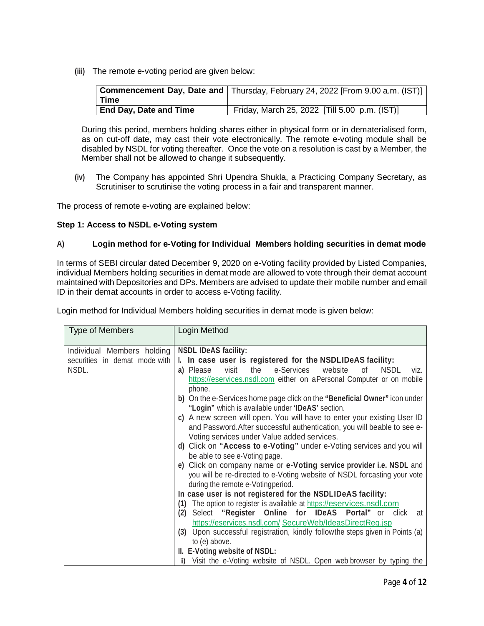**(iii)** The remote e-voting period are given below:

|                               | Gommencement Day, Date and   Thursday, February 24, 2022 [From 9.00 a.m. (IST)] |
|-------------------------------|---------------------------------------------------------------------------------|
| Time                          |                                                                                 |
| <b>End Day, Date and Time</b> | Friday, March 25, 2022 [Till 5.00 p.m. (IST)]                                   |

During this period, members holding shares either in physical form or in dematerialised form, as on cut-off date, may cast their vote electronically. The remote e-voting module shall be disabled by NSDL for voting thereafter. Once the vote on a resolution is cast by a Member, the Member shall not be allowed to change it subsequently.

**(iv)** The Company has appointed Shri Upendra Shukla, a Practicing Company Secretary, as Scrutiniser to scrutinise the voting process in a fair and transparent manner.

The process of remote e-voting are explained below:

# **Step 1: Access to NSDL e-Voting system**

# **A) Login method for e-Voting for Individual Members holding securities in demat mode**

In terms of SEBI circular dated December 9, 2020 on e-Voting facility provided by Listed Companies, individual Members holding securities in demat mode are allowed to vote through their demat account maintained with Depositories and DPs. Members are advised to update their mobile number and email ID in their demat accounts in order to access e-Voting facility.

| <b>Type of Members</b>        | Login Method                                                                                                                                                      |  |  |
|-------------------------------|-------------------------------------------------------------------------------------------------------------------------------------------------------------------|--|--|
| Individual Members holding    | <b>NSDL IDeAS facility:</b>                                                                                                                                       |  |  |
| securities in demat mode with | I. In case user is registered for the NSDLIDeAS facility:                                                                                                         |  |  |
| NSDL.                         | the<br>e-Services<br><b>NSDL</b><br>visit<br>website<br>a) Please<br>viz.<br>0f<br>https://eservices.nsdl.com either on aPersonal Computer or on mobile<br>phone. |  |  |
|                               | b) On the e-Services home page click on the "Beneficial Owner" icon under<br>"Login" which is available under 'IDeAS' section.                                    |  |  |
|                               | c) A new screen will open. You will have to enter your existing User ID                                                                                           |  |  |
|                               | and Password. After successful authentication, you will beable to see e-                                                                                          |  |  |
|                               | Voting services under Value added services.                                                                                                                       |  |  |
|                               | d) Click on "Access to e-Voting" under e-Voting services and you will                                                                                             |  |  |
|                               | be able to see e-Voting page.                                                                                                                                     |  |  |
|                               | e) Click on company name or e-Voting service provider i.e. NSDL and                                                                                               |  |  |
|                               | you will be re-directed to e-Voting website of NSDL forcasting your vote                                                                                          |  |  |
|                               | during the remote e-Votingperiod.                                                                                                                                 |  |  |
|                               | In case user is not registered for the NSDLIDeAS facility:                                                                                                        |  |  |
|                               | The option to register is available at https://eservices.nsdl.com<br>(1)                                                                                          |  |  |
|                               | Select "Register Online for IDeAS Portal" or click at<br>(2)                                                                                                      |  |  |
|                               | https://eservices.nsdl.com/ SecureWeb/IdeasDirectReg.jsp                                                                                                          |  |  |
|                               | (3) Upon successful registration, kindly followthe steps given in Points (a)                                                                                      |  |  |
|                               | to (e) above.                                                                                                                                                     |  |  |
|                               | II. E-Voting website of NSDL:                                                                                                                                     |  |  |
|                               | i) Visit the e-Voting website of NSDL. Open web browser by typing the                                                                                             |  |  |

Login method for Individual Members holding securities in demat mode is given below: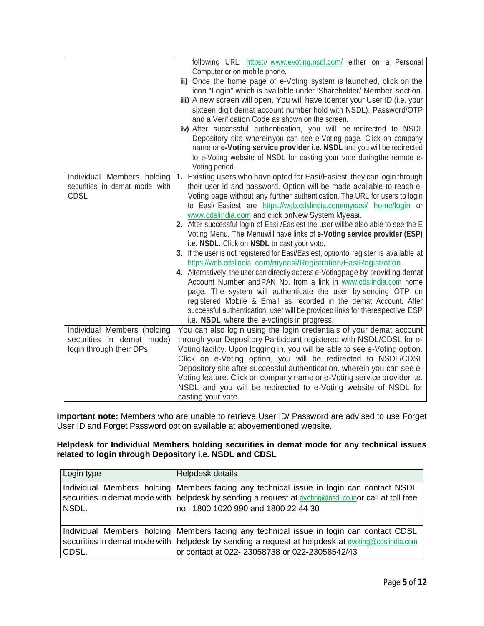| Individual Members holding                                                           | following URL: https:// www.evoting.nsdl.com/ either on a Personal<br>Computer or on mobile phone.<br>ii) Once the home page of e-Voting system is launched, click on the<br>icon "Login" which is available under 'Shareholder/ Member' section.<br>iii) A new screen will open. You will have toenter your User ID (i.e. your<br>sixteen digit demat account number hold with NSDL), Password/OTP<br>and a Verification Code as shown on the screen.<br>iv) After successful authentication, you will be redirected to NSDL<br>Depository site whereinyou can see e-Voting page. Click on company<br>name or e-Voting service provider i.e. NSDL and you will be redirected<br>to e-Voting website of NSDL for casting your vote duringthe remote e-<br>Voting period.<br>1. Existing users who have opted for Easi/Easiest, they can login through                                                                                                                                                                                                                               |
|--------------------------------------------------------------------------------------|-------------------------------------------------------------------------------------------------------------------------------------------------------------------------------------------------------------------------------------------------------------------------------------------------------------------------------------------------------------------------------------------------------------------------------------------------------------------------------------------------------------------------------------------------------------------------------------------------------------------------------------------------------------------------------------------------------------------------------------------------------------------------------------------------------------------------------------------------------------------------------------------------------------------------------------------------------------------------------------------------------------------------------------------------------------------------------------|
| securities in demat mode with<br><b>CDSL</b>                                         | their user id and password. Option will be made available to reach e-<br>Voting page without any further authentication. The URL for users to login<br>to Easi/ Easiest are https://web.cdslindia.com/myeasi/ home/login or<br>www.cdslindia.com and click onNew System Myeasi.<br>2. After successful login of Easi /Easiest the user willbe also able to see the E<br>Voting Menu. The Menuwill have links of e-Voting service provider (ESP)<br>i.e. NSDL. Click on NSDL to cast your vote.<br>3. If the user is not registered for Easi/Easiest, optionto register is available at<br>https://web.cdslindia.com/myeasi/Registration/EasiRegistration<br>4. Alternatively, the user can directly access e-Votingpage by providing demat<br>Account Number and PAN No. from a link in www.cdslindia.com home<br>page. The system will authenticate the user by sending OTP on<br>registered Mobile & Email as recorded in the demat Account. After<br>successful authentication, user will be provided links for therespective ESP<br>i.e. NSDL where the e-votingis in progress. |
| Individual Members (holding<br>securities in demat mode)<br>login through their DPs. | You can also login using the login credentials of your demat account<br>through your Depository Participant registered with NSDL/CDSL for e-<br>Voting facility. Upon logging in, you will be able to see e-Voting option.<br>Click on e-Voting option, you will be redirected to NSDL/CDSL<br>Depository site after successful authentication, wherein you can see e-<br>Voting feature. Click on company name or e-Voting service provider i.e.<br>NSDL and you will be redirected to e-Voting website of NSDL for<br>casting your vote.                                                                                                                                                                                                                                                                                                                                                                                                                                                                                                                                          |

**Important note:** Members who are unable to retrieve User ID/ Password are advised to use Forget User ID and Forget Password option available at abovementioned website.

# **Helpdesk for Individual Members holding securities in demat mode for any technical issues related to login through Depository i.e. NSDL and CDSL**

| Login type | Helpdesk details                                                                                                                                                                                                                                 |
|------------|--------------------------------------------------------------------------------------------------------------------------------------------------------------------------------------------------------------------------------------------------|
| NSDL.      | Individual Members holding Members facing any technical issue in login can contact NSDL<br>securities in demat mode with   helpdesk by sending a request at evoting@nsdl.co.inor call at toll free<br>no.: 1800 1020 990 and 1800 22 44 30       |
| CDSL.      | Individual Members holding   Members facing any technical issue in login can contact CDSL<br>securities in demat mode with   helpdesk by sending a request at helpdesk at evoting@cdslindia.com<br>or contact at 022-23058738 or 022-23058542/43 |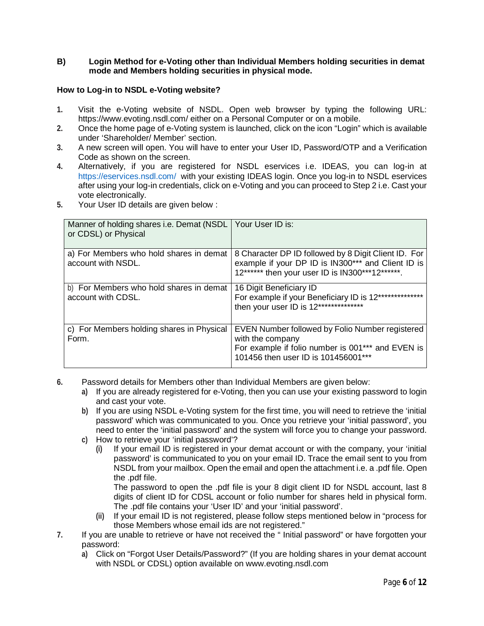### **B) Login Method for e-Voting other than Individual Members holding securities in demat mode and Members holding securities in physical mode.**

### **How to Log-in to NSDL e-Voting website?**

- **1.** Visit the e-Voting website of NSDL. Open web browser by typing the following URL: https://www.evoting.nsdl.com/ either on a Personal Computer or on a mobile.
- **2.** Once the home page of e-Voting system is launched, click on the icon "Login" which is available under 'Shareholder/ Member' section.
- **3.** A new screen will open. You will have to enter your User ID, Password/OTP and a Verification Code as shown on the screen.
- **4.** Alternatively, if you are registered for NSDL eservices i.e. IDEAS, you can log-in at https://eservices.nsdl.com/ with your existing IDEAS login. Once you log-in to NSDL eservices after using your log-in credentials, click on e-Voting and you can proceed to Step 2 i.e. Cast your vote electronically.
- **5.** Your User ID details are given below :

| Manner of holding shares i.e. Demat (NSDL<br>or CDSL) or Physical | Your User ID is:                                                                                                                                                |
|-------------------------------------------------------------------|-----------------------------------------------------------------------------------------------------------------------------------------------------------------|
| a) For Members who hold shares in demat<br>account with NSDL.     | 8 Character DP ID followed by 8 Digit Client ID. For<br>example if your DP ID is IN300*** and Client ID is<br>12****** then your user ID is IN300***12******.   |
| b) For Members who hold shares in demat<br>account with CDSL.     | 16 Digit Beneficiary ID<br>For example if your Beneficiary ID is 12**************<br>then your user ID is 12**************                                      |
| c) For Members holding shares in Physical<br>Form.                | EVEN Number followed by Folio Number registered<br>with the company<br>For example if folio number is 001*** and EVEN is<br>101456 then user ID is 101456001*** |

- **6.** Password details for Members other than Individual Members are given below:
	- **a)** If you are already registered for e-Voting, then you can use your existing password to login and cast your vote.
	- **b)** If you are using NSDL e-Voting system for the first time, you will need to retrieve the 'initial password' which was communicated to you. Once you retrieve your 'initial password', you need to enter the 'initial password' and the system will force you to change your password.
	- **c)** How to retrieve your 'initial password'?
		- **(i)** If your email ID is registered in your demat account or with the company, your 'initial password' is communicated to you on your email ID. Trace the email sent to you from NSDL from your mailbox. Open the email and open the attachment i.e. a .pdf file. Open the .pdf file.

The password to open the .pdf file is your 8 digit client ID for NSDL account, last 8 digits of client ID for CDSL account or folio number for shares held in physical form. The .pdf file contains your 'User ID' and your 'initial password'.

- **(ii)** If your email ID is not registered, please follow steps mentioned below in "process for those Members whose email ids are not registered."
- **7.** If you are unable to retrieve or have not received the " Initial password" or have forgotten your password:
	- **a)** Click on "Forgot User Details/Password?" (If you are holding shares in your demat account with NSDL or CDSL) option available on www.evoting.nsdl.com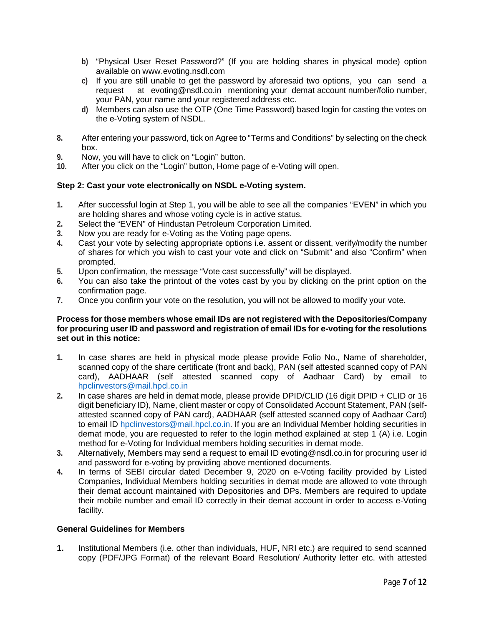- **b)** "Physical User Reset Password?" (If you are holding shares in physical mode) option available on www.evoting.nsdl.com
- **c)** If you are still unable to get the password by aforesaid two options, you can send a request at evoting@nsdl.co.in mentioning your demat account number/folio number, your PAN, your name and your registered address etc.
- **d)** Members can also use the OTP (One Time Password) based login for casting the votes on the e-Voting system of NSDL.
- **8.** After entering your password, tick on Agree to "Terms and Conditions" by selecting on the check box.
- **9.** Now, you will have to click on "Login" button.
- **10.** After you click on the "Login" button, Home page of e-Voting will open.

## **Step 2: Cast your vote electronically on NSDL e-Voting system.**

- **1.** After successful login at Step 1, you will be able to see all the companies "EVEN" in which you are holding shares and whose voting cycle is in active status.
- **2.** Select the "EVEN" of Hindustan Petroleum Corporation Limited.
- **3.** Now you are ready for e-Voting as the Voting page opens.
- **4.** Cast your vote by selecting appropriate options i.e. assent or dissent, verify/modify the number of shares for which you wish to cast your vote and click on "Submit" and also "Confirm" when prompted.
- **5.** Upon confirmation, the message "Vote cast successfully" will be displayed.
- **6.** You can also take the printout of the votes cast by you by clicking on the print option on the confirmation page.
- **7.** Once you confirm your vote on the resolution, you will not be allowed to modify your vote.

### **Process for those members whose email IDs are not registered with the Depositories/Company for procuring user ID and password and registration of email IDs for e-voting for the resolutions set out in this notice:**

- **1.** In case shares are held in physical mode please provide Folio No., Name of shareholder, scanned copy of the share certificate (front and back), PAN (self attested scanned copy of PAN card), AADHAAR (self attested scanned copy of Aadhaar Card) by email to hpclinvestors@mail.hpcl.co.in
- **2.** In case shares are held in demat mode, please provide DPID/CLID (16 digit DPID + CLID or 16 digit beneficiary ID), Name, client master or copy of Consolidated Account Statement, PAN (selfattested scanned copy of PAN card), AADHAAR (self attested scanned copy of Aadhaar Card) to email ID hpclinvestors@mail.hpcl.co.in. If you are an Individual Member holding securities in demat mode, you are requested to refer to the login method explained at step 1 (A) i.e. Login method for e-Voting for Individual members holding securities in demat mode.
- **3.** Alternatively, Members may send a request to email ID evoting@nsdl.co.in for procuring user id and password for e-voting by providing above mentioned documents.
- **4.** In terms of SEBI circular dated December 9, 2020 on e-Voting facility provided by Listed Companies, Individual Members holding securities in demat mode are allowed to vote through their demat account maintained with Depositories and DPs. Members are required to update their mobile number and email ID correctly in their demat account in order to access e-Voting facility.

## **General Guidelines for Members**

**1.** Institutional Members (i.e. other than individuals, HUF, NRI etc.) are required to send scanned copy (PDF/JPG Format) of the relevant Board Resolution/ Authority letter etc. with attested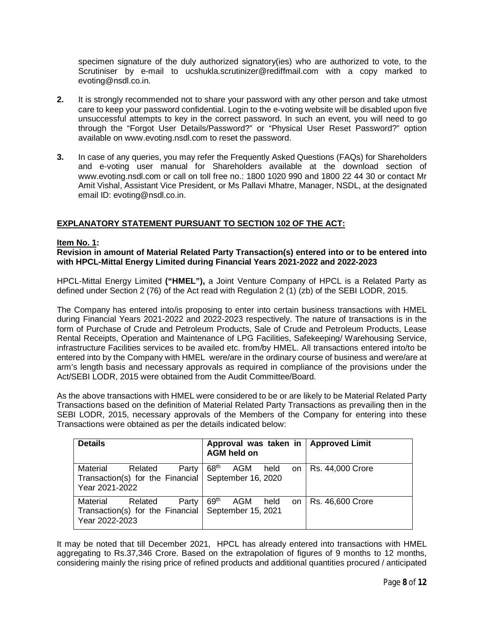specimen signature of the duly authorized signatory(ies) who are authorized to vote, to the Scrutiniser by e-mail to ucshukla.scrutinizer@rediffmail.com with a copy marked to evoting@nsdl.co.in.

- **2.** It is strongly recommended not to share your password with any other person and take utmost care to keep your password confidential. Login to the e-voting website will be disabled upon five unsuccessful attempts to key in the correct password. In such an event, you will need to go through the "Forgot User Details/Password?" or "Physical User Reset Password?" option available on www.evoting.nsdl.com to reset the password.
- **3.** In case of any queries, you may refer the Frequently Asked Questions (FAQs) for Shareholders and e-voting user manual for Shareholders available at the download section of www.evoting.nsdl.com or call on toll free no.: 1800 1020 990 and 1800 22 44 30 or contact Mr Amit Vishal, Assistant Vice President, or Ms Pallavi Mhatre, Manager, NSDL, at the designated email ID: evoting@nsdl.co.in.

# **EXPLANATORY STATEMENT PURSUANT TO SECTION 102 OF THE ACT:**

#### **Item No. 1:**

**Revision in amount of Material Related Party Transaction(s) entered into or to be entered into with HPCL-Mittal Energy Limited during Financial Years 2021-2022 and 2022-2023**

HPCL-Mittal Energy Limited **("HMEL"),** a Joint Venture Company of HPCL is a Related Party as defined under Section 2 (76) of the Act read with Regulation 2 (1) (zb) of the SEBI LODR, 2015.

The Company has entered into/is proposing to enter into certain business transactions with HMEL during Financial Years 2021-2022 and 2022-2023 respectively. The nature of transactions is in the form of Purchase of Crude and Petroleum Products, Sale of Crude and Petroleum Products, Lease Rental Receipts, Operation and Maintenance of LPG Facilities, Safekeeping/ Warehousing Service, infrastructure Facilities services to be availed etc. from/by HMEL. All transactions entered into/to be entered into by the Company with HMEL were/are in the ordinary course of business and were/are at arm's length basis and necessary approvals as required in compliance of the provisions under the Act/SEBI LODR, 2015 were obtained from the Audit Committee/Board.

As the above transactions with HMEL were considered to be or are likely to be Material Related Party Transactions based on the definition of Material Related Party Transactions as prevailing then in the SEBI LODR, 2015, necessary approvals of the Members of the Company for entering into these Transactions were obtained as per the details indicated below:

| <b>Details</b>                                                                                          | Approval was taken in   Approved Limit<br><b>AGM held on</b> |                                  |
|---------------------------------------------------------------------------------------------------------|--------------------------------------------------------------|----------------------------------|
| Related<br>Material<br>Party<br>Transaction(s) for the Financial   September 16, 2020<br>Year 2021-2022 | 68 <sup>th</sup><br>AGM                                      | held on $\vert$ Rs. 44,000 Crore |
| Related<br>Material<br>Party<br>Transaction(s) for the Financial   September 15, 2021<br>Year 2022-2023 | 69 <sup>th</sup><br>held<br>AGM                              | on   Rs. 46,600 Crore            |

It may be noted that till December 2021, HPCL has already entered into transactions with HMEL aggregating to Rs.37,346 Crore. Based on the extrapolation of figures of 9 months to 12 months, considering mainly the rising price of refined products and additional quantities procured / anticipated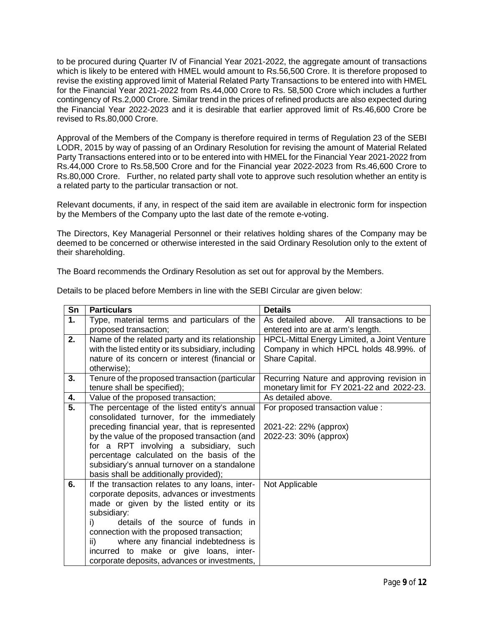to be procured during Quarter IV of Financial Year 2021-2022, the aggregate amount of transactions which is likely to be entered with HMEL would amount to Rs.56,500 Crore. It is therefore proposed to revise the existing approved limit of Material Related Party Transactions to be entered into with HMEL for the Financial Year 2021-2022 from Rs.44,000 Crore to Rs. 58,500 Crore which includes a further contingency of Rs.2,000 Crore. Similar trend in the prices of refined products are also expected during the Financial Year 2022-2023 and it is desirable that earlier approved limit of Rs.46,600 Crore be revised to Rs.80,000 Crore.

Approval of the Members of the Company is therefore required in terms of Regulation 23 of the SEBI LODR, 2015 by way of passing of an Ordinary Resolution for revising the amount of Material Related Party Transactions entered into or to be entered into with HMEL for the Financial Year 2021-2022 from Rs.44,000 Crore to Rs.58,500 Crore and for the Financial year 2022-2023 from Rs.46,600 Crore to Rs.80,000 Crore. Further, no related party shall vote to approve such resolution whether an entity is a related party to the particular transaction or not.

Relevant documents, if any, in respect of the said item are available in electronic form for inspection by the Members of the Company upto the last date of the remote e-voting.

The Directors, Key Managerial Personnel or their relatives holding shares of the Company may be deemed to be concerned or otherwise interested in the said Ordinary Resolution only to the extent of their shareholding.

The Board recommends the Ordinary Resolution as set out for approval by the Members.

| Sn | <b>Particulars</b>                                  | <b>Details</b>                                     |
|----|-----------------------------------------------------|----------------------------------------------------|
| 1. | Type, material terms and particulars of the         | As detailed above. All transactions to be          |
|    | proposed transaction;                               | entered into are at arm's length.                  |
| 2. | Name of the related party and its relationship      | <b>HPCL-Mittal Energy Limited, a Joint Venture</b> |
|    | with the listed entity or its subsidiary, including | Company in which HPCL holds 48.99%. of             |
|    | nature of its concern or interest (financial or     | Share Capital.                                     |
|    | otherwise);                                         |                                                    |
| 3. | Tenure of the proposed transaction (particular      | Recurring Nature and approving revision in         |
|    | tenure shall be specified);                         | monetary limit for FY 2021-22 and 2022-23.         |
| 4. | Value of the proposed transaction;                  | As detailed above.                                 |
| 5. | The percentage of the listed entity's annual        | For proposed transaction value :                   |
|    | consolidated turnover, for the immediately          |                                                    |
|    | preceding financial year, that is represented       | 2021-22: 22% (approx)                              |
|    | by the value of the proposed transaction (and       | 2022-23: 30% (approx)                              |
|    | for a RPT involving a subsidiary, such              |                                                    |
|    | percentage calculated on the basis of the           |                                                    |
|    | subsidiary's annual turnover on a standalone        |                                                    |
|    | basis shall be additionally provided);              |                                                    |
| 6. | If the transaction relates to any loans, inter-     | Not Applicable                                     |
|    | corporate deposits, advances or investments         |                                                    |
|    | made or given by the listed entity or its           |                                                    |
|    | subsidiary:                                         |                                                    |
|    | details of the source of funds in<br>i)             |                                                    |
|    | connection with the proposed transaction;           |                                                    |
|    | where any financial indebtedness is<br>ii)          |                                                    |
|    | incurred to make or give loans, inter-              |                                                    |
|    | corporate deposits, advances or investments,        |                                                    |

Details to be placed before Members in line with the SEBI Circular are given below: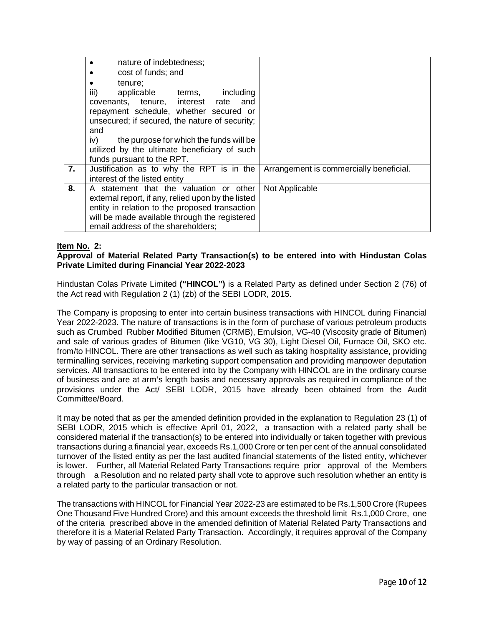|    | nature of indebtedness;<br>$\bullet$               |                                         |
|----|----------------------------------------------------|-----------------------------------------|
|    | cost of funds; and<br>$\bullet$                    |                                         |
|    | tenure:<br>$\bullet$                               |                                         |
|    | iii)<br>applicable terms,<br>including             |                                         |
|    | covenants, tenure, interest rate<br>and            |                                         |
|    | repayment schedule, whether secured or             |                                         |
|    | unsecured; if secured, the nature of security;     |                                         |
|    | and                                                |                                         |
|    | iv)<br>the purpose for which the funds will be     |                                         |
|    | utilized by the ultimate beneficiary of such       |                                         |
|    | funds pursuant to the RPT.                         |                                         |
| 7. | Justification as to why the RPT is in the          | Arrangement is commercially beneficial. |
|    | interest of the listed entity                      |                                         |
| 8. | A statement that the valuation or other            | Not Applicable                          |
|    | external report, if any, relied upon by the listed |                                         |
|    | entity in relation to the proposed transaction     |                                         |
|    | will be made available through the registered      |                                         |
|    | email address of the shareholders;                 |                                         |

## **Item No. 2:**

# **Approval of Material Related Party Transaction(s) to be entered into with Hindustan Colas Private Limited during Financial Year 2022-2023**

Hindustan Colas Private Limited **("HINCOL")** is a Related Party as defined under Section 2 (76) of the Act read with Regulation 2 (1) (zb) of the SEBI LODR, 2015.

The Company is proposing to enter into certain business transactions with HINCOL during Financial Year 2022-2023. The nature of transactions is in the form of purchase of various petroleum products such as Crumbed Rubber Modified Bitumen (CRMB), Emulsion, VG-40 (Viscosity grade of Bitumen) and sale of various grades of Bitumen (like VG10, VG 30), Light Diesel Oil, Furnace Oil, SKO etc. from/to HINCOL. There are other transactions as well such as taking hospitality assistance, providing terminalling services, receiving marketing support compensation and providing manpower deputation services. All transactions to be entered into by the Company with HINCOL are in the ordinary course of business and are at arm's length basis and necessary approvals as required in compliance of the provisions under the Act/ SEBI LODR, 2015 have already been obtained from the Audit Committee/Board.

It may be noted that as per the amended definition provided in the explanation to Regulation 23 (1) of SEBI LODR, 2015 which is effective April 01, 2022, a transaction with a related party shall be considered material if the transaction(s) to be entered into individually or taken together with previous transactions during a financial year, exceeds Rs.1,000 Crore or ten per cent of the annual consolidated turnover of the listed entity as per the last audited financial statements of the listed entity, whichever is lower. Further, all Material Related Party Transactions require prior approval of the Members through a Resolution and no related party shall vote to approve such resolution whether an entity is a related party to the particular transaction or not.

The transactions with HINCOL for Financial Year 2022-23 are estimated to be Rs.1,500 Crore (Rupees One Thousand Five Hundred Crore) and this amount exceeds the threshold limit Rs.1,000 Crore, one of the criteria prescribed above in the amended definition of Material Related Party Transactions and therefore it is a Material Related Party Transaction. Accordingly, it requires approval of the Company by way of passing of an Ordinary Resolution.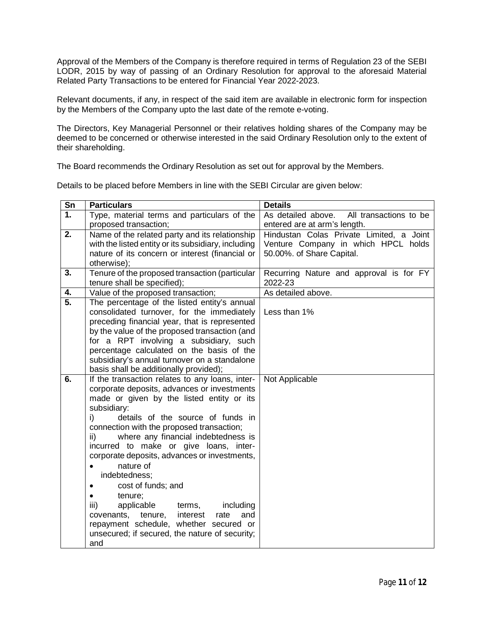Approval of the Members of the Company is therefore required in terms of Regulation 23 of the SEBI LODR, 2015 by way of passing of an Ordinary Resolution for approval to the aforesaid Material Related Party Transactions to be entered for Financial Year 2022-2023.

Relevant documents, if any, in respect of the said item are available in electronic form for inspection by the Members of the Company upto the last date of the remote e-voting.

The Directors, Key Managerial Personnel or their relatives holding shares of the Company may be deemed to be concerned or otherwise interested in the said Ordinary Resolution only to the extent of their shareholding.

The Board recommends the Ordinary Resolution as set out for approval by the Members.

Details to be placed before Members in line with the SEBI Circular are given below:

| $\overline{\text{Sn}}$ | <b>Particulars</b>                                     | <b>Details</b>                            |
|------------------------|--------------------------------------------------------|-------------------------------------------|
| 1.                     | Type, material terms and particulars of the            | As detailed above. All transactions to be |
|                        | proposed transaction;                                  | entered are at arm's length.              |
| 2.                     | Name of the related party and its relationship         | Hindustan Colas Private Limited, a Joint  |
|                        | with the listed entity or its subsidiary, including    | Venture Company in which HPCL holds       |
|                        | nature of its concern or interest (financial or        | 50.00%. of Share Capital.                 |
|                        | otherwise);                                            |                                           |
| 3.                     | Tenure of the proposed transaction (particular         | Recurring Nature and approval is for FY   |
|                        | tenure shall be specified);                            | 2022-23                                   |
| 4.                     | Value of the proposed transaction;                     | As detailed above.                        |
| $\overline{5}$ .       | The percentage of the listed entity's annual           |                                           |
|                        | consolidated turnover, for the immediately             | Less than 1%                              |
|                        | preceding financial year, that is represented          |                                           |
|                        | by the value of the proposed transaction (and          |                                           |
|                        | for a RPT involving a subsidiary, such                 |                                           |
|                        | percentage calculated on the basis of the              |                                           |
|                        | subsidiary's annual turnover on a standalone           |                                           |
|                        | basis shall be additionally provided);                 |                                           |
| 6.                     | If the transaction relates to any loans, inter-        | Not Applicable                            |
|                        | corporate deposits, advances or investments            |                                           |
|                        | made or given by the listed entity or its              |                                           |
|                        | subsidiary:<br>i)<br>details of the source of funds in |                                           |
|                        | connection with the proposed transaction;              |                                           |
|                        | where any financial indebtedness is<br>ii)             |                                           |
|                        | incurred to make or give loans, inter-                 |                                           |
|                        | corporate deposits, advances or investments,           |                                           |
|                        | nature of                                              |                                           |
|                        | indebtedness;                                          |                                           |
|                        | cost of funds; and<br>$\bullet$                        |                                           |
|                        | tenure;<br>$\bullet$                                   |                                           |
|                        | iii)<br>applicable<br>including<br>terms,              |                                           |
|                        | covenants,<br>tenure, interest<br>rate<br>and          |                                           |
|                        | repayment schedule, whether secured or                 |                                           |
|                        | unsecured; if secured, the nature of security;         |                                           |
|                        | and                                                    |                                           |